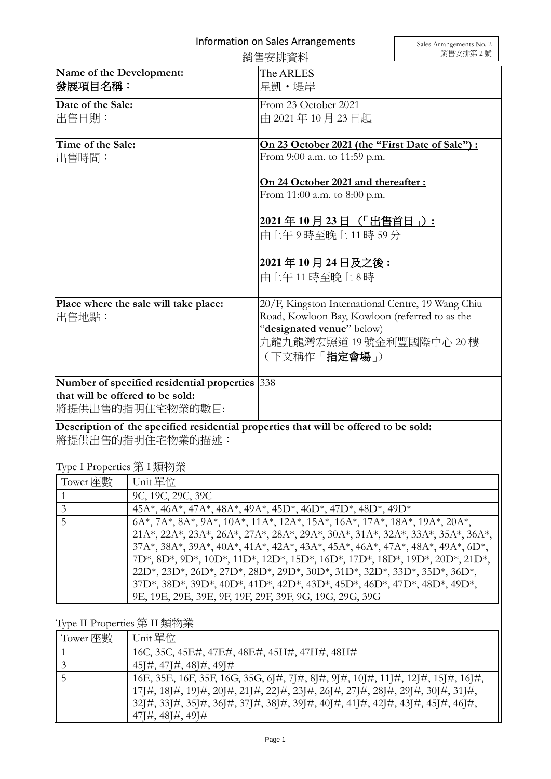|                                                                                                           |                                                                                                                                                                                                                                                                                                          | 銷售安排資料                                                                                                                                                                               | 銷售安排第2號 |  |
|-----------------------------------------------------------------------------------------------------------|----------------------------------------------------------------------------------------------------------------------------------------------------------------------------------------------------------------------------------------------------------------------------------------------------------|--------------------------------------------------------------------------------------------------------------------------------------------------------------------------------------|---------|--|
| Name of the Development:<br> 發展項目名稱:                                                                      |                                                                                                                                                                                                                                                                                                          | The ARLES<br>星凱・堤岸                                                                                                                                                                   |         |  |
| Date of the Sale:<br>出售日期:                                                                                |                                                                                                                                                                                                                                                                                                          | From 23 October 2021<br>由 2021年10月23日起                                                                                                                                               |         |  |
| Time of the Sale:<br> 出售時間:                                                                               |                                                                                                                                                                                                                                                                                                          | On 23 October 2021 (the "First Date of Sale") :<br>From 9:00 a.m. to 11:59 p.m.                                                                                                      |         |  |
|                                                                                                           |                                                                                                                                                                                                                                                                                                          | On 24 October 2021 and thereafter:<br>From 11:00 a.m. to 8:00 p.m.                                                                                                                   |         |  |
|                                                                                                           |                                                                                                                                                                                                                                                                                                          | <u>2021年10月23日(「出售首日」):</u><br>由上午9時至晚上11時59分                                                                                                                                        |         |  |
|                                                                                                           |                                                                                                                                                                                                                                                                                                          | <u> 2021年10月24日及之後:</u><br>由上午11時至晚上8時                                                                                                                                               |         |  |
| Place where the sale will take place:<br> 出售地點:                                                           |                                                                                                                                                                                                                                                                                                          | 20/F, Kingston International Centre, 19 Wang Chiu<br>Road, Kowloon Bay, Kowloon (referred to as the<br>"designated venue" below)<br>九龍九龍灣宏照道 19號金利豐國際中心 20樓<br>(下文稱作「 <b>指定會場</b> 」) |         |  |
| Number of specified residential properties 338<br>that will be offered to be sold:<br> 將提供出售的指明住宅物業的數目:   |                                                                                                                                                                                                                                                                                                          |                                                                                                                                                                                      |         |  |
| Description of the specified residential properties that will be offered to be sold:<br> 將提供出售的指明住宅物業的描述: |                                                                                                                                                                                                                                                                                                          |                                                                                                                                                                                      |         |  |
| Type I Properties 第 I 類物業                                                                                 |                                                                                                                                                                                                                                                                                                          |                                                                                                                                                                                      |         |  |
| Tower 座數                                                                                                  | Unit 單位                                                                                                                                                                                                                                                                                                  |                                                                                                                                                                                      |         |  |
| 1                                                                                                         | 9C, 19C, 29C, 39C                                                                                                                                                                                                                                                                                        |                                                                                                                                                                                      |         |  |
| $\mathfrak{Z}$<br>$\overline{5}$                                                                          | 45A*, 46A*, 47A*, 48A*, 49A*, 45D*, 46D*, 47D*, 48D*, 49D*                                                                                                                                                                                                                                               |                                                                                                                                                                                      |         |  |
|                                                                                                           | 6A*, 7A*, 8A*, 9A*, 10A*, 11A*, 12A*, 15A*, 16A*, 17A*, 18A*, 19A*, 20A*,<br>21A*, 22A*, 23A*, 26A*, 27A*, 28A*, 29A*, 30A*, 31A*, 32A*, 33A*, 35A*, 36A*,                                                                                                                                               |                                                                                                                                                                                      |         |  |
|                                                                                                           | 37A*, 38A*, 39A*, 40A*, 41A*, 42A*, 43A*, 45A*, 46A*, 47A*, 48A*, 49A*, 6D*,                                                                                                                                                                                                                             |                                                                                                                                                                                      |         |  |
|                                                                                                           | 7D*, 8D*, 9D*, 10D*, 11D*, 12D*, 15D*, 16D*, 17D*, 18D*, 19D*, 20D*, 21D*,                                                                                                                                                                                                                               |                                                                                                                                                                                      |         |  |
|                                                                                                           | 22D*, 23D*, 26D*, 27D*, 28D*, 29D*, 30D*, 31D*, 32D*, 33D*, 35D*, 36D*,<br>37D*, 38D*, 39D*, 40D*, 41D*, 42D*, 43D*, 45D*, 46D*, 47D*, 48D*, 49D*,                                                                                                                                                       |                                                                                                                                                                                      |         |  |
|                                                                                                           |                                                                                                                                                                                                                                                                                                          | 9E, 19E, 29E, 39E, 9F, 19F, 29F, 39F, 9G, 19G, 29G, 39G                                                                                                                              |         |  |
|                                                                                                           |                                                                                                                                                                                                                                                                                                          |                                                                                                                                                                                      |         |  |
| Type II Properties 第 II 類物業                                                                               |                                                                                                                                                                                                                                                                                                          |                                                                                                                                                                                      |         |  |
| Tower 座數                                                                                                  | Unit 單位                                                                                                                                                                                                                                                                                                  |                                                                                                                                                                                      |         |  |
| 1                                                                                                         | 16C, 35C, 45E#, 47E#, 48E#, 45H#, 47H#, 48H#                                                                                                                                                                                                                                                             |                                                                                                                                                                                      |         |  |
| 3<br>5                                                                                                    | $45\frac{1}{4}$ , $47\frac{1}{4}$ , $48\frac{1}{4}$ , $49\frac{1}{4}$                                                                                                                                                                                                                                    |                                                                                                                                                                                      |         |  |
|                                                                                                           | 16E, 35E, 16F, 35F, 16G, 35G, 6J#, 7J#, 8J#, 9J#, 10J#, 11J#, 12J#, 15J#, 16J#,<br>17]#, 18J#, 19J#, 20J#, 21J#, 22J#, 23J#, 26J#, 27J#, 28J#, 29J#, 30J#, 31J#,<br>32]#, 33]#, 35]#, 36]#, 37]#, 38]#, 39]#, 40]#, 41]#, 42]#, 43]#, 45]#, 46]#,<br>$47\frac{1}{4}$ , $48\frac{1}{4}$ , $49\frac{1}{4}$ |                                                                                                                                                                                      |         |  |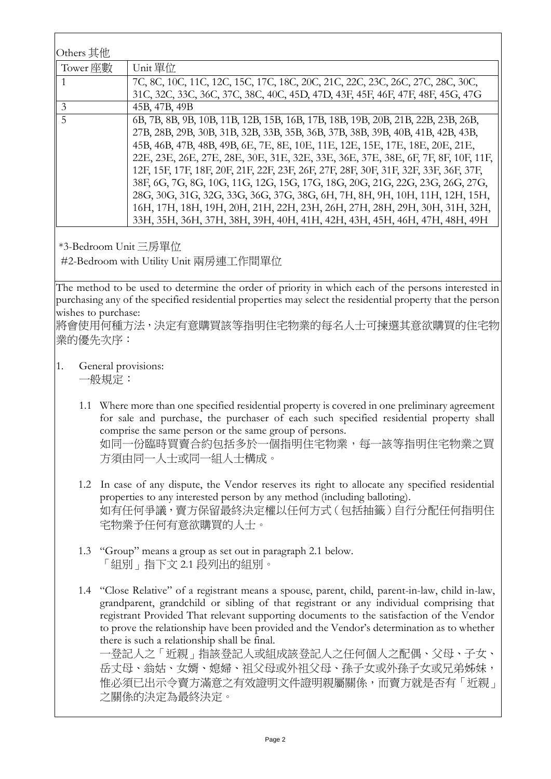| Others 其他 |                                                                                      |
|-----------|--------------------------------------------------------------------------------------|
| Tower 座數  | Unit 單位                                                                              |
|           | 7C, 8C, 10C, 11C, 12C, 15C, 17C, 18C, 20C, 21C, 22C, 23C, 26C, 27C, 28C, 30C,        |
|           | 31C, 32C, 33C, 36C, 37C, 38C, 40C, 45D, 47D, 43F, 45F, 46F, 47F, 48F, 45G, 47G       |
| 3         | 45B, 47B, 49B                                                                        |
| 5         | 6B, 7B, 8B, 9B, 10B, 11B, 12B, 15B, 16B, 17B, 18B, 19B, 20B, 21B, 22B, 23B, 26B,     |
|           | 27B, 28B, 29B, 30B, 31B, 32B, 33B, 35B, 36B, 37B, 38B, 39B, 40B, 41B, 42B, 43B,      |
|           | 45B, 46B, 47B, 48B, 49B, 6E, 7E, 8E, 10E, 11E, 12E, 15E, 17E, 18E, 20E, 21E,         |
|           | 22E, 23E, 26E, 27E, 28E, 30E, 31E, 32E, 33E, 36E, 37E, 38E, 6F, 7F, 8F, 10F, 11F,    |
|           | 12F, 15F, 17F, 18F, 20F, 21F, 22F, 23F, 26F, 27F, 28F, 30F, 31F, 32F, 33F, 36F, 37F, |
|           | 38F, 6G, 7G, 8G, 10G, 11G, 12G, 15G, 17G, 18G, 20G, 21G, 22G, 23G, 26G, 27G,         |
|           | 28G, 30G, 31G, 32G, 33G, 36G, 37G, 38G, 6H, 7H, 8H, 9H, 10H, 11H, 12H, 15H,          |
|           | 16H, 17H, 18H, 19H, 20H, 21H, 22H, 23H, 26H, 27H, 28H, 29H, 30H, 31H, 32H,           |
|           | 33H, 35H, 36H, 37H, 38H, 39H, 40H, 41H, 42H, 43H, 45H, 46H, 47H, 48H, 49H            |

\*3-Bedroom Unit 三房單位

#2-Bedroom with Utility Unit 兩房連工作間單位

The method to be used to determine the order of priority in which each of the persons interested in purchasing any of the specified residential properties may select the residential property that the person wishes to purchase:

將會使用何種方法,決定有意購買該等指明住宅物業的每名人士可揀選其意欲購買的住宅物 業的優先次序:

1. General provisions:

一般規定:

- 1.1 Where more than one specified residential property is covered in one preliminary agreement for sale and purchase, the purchaser of each such specified residential property shall comprise the same person or the same group of persons. 如同一份臨時買賣合約包括多於一個指明住宅物業,每一該等指明住宅物業之買 方須由同一人士或同一組人士構成。
- 1.2 In case of any dispute, the Vendor reserves its right to allocate any specified residential properties to any interested person by any method (including balloting). 如有任何爭議,賣方保留最終決定權以任何方式(包括抽籤)自行分配任何指明住 宅物業予任何有意欲購買的人士。
- 1.3 "Group" means a group as set out in paragraph 2.1 below. 「組別」指下文 2.1 段列出的組別。
- 1.4 "Close Relative" of a registrant means a spouse, parent, child, parent-in-law, child in-law, grandparent, grandchild or sibling of that registrant or any individual comprising that registrant Provided That relevant supporting documents to the satisfaction of the Vendor to prove the relationship have been provided and the Vendor's determination as to whether there is such a relationship shall be final.

一登記人之「近親」指該登記人或組成該登記人之任何個人之配偶、父母、子女、 岳丈母、翁姑、女婿、媳婦、祖父母或外祖父母、孫子女或外孫子女或兄弟姊妹, 惟必須已出示令賣方滿意之有效證明文件證明親屬關係,而賣方就是否有「近親」 之關係的決定為最終決定。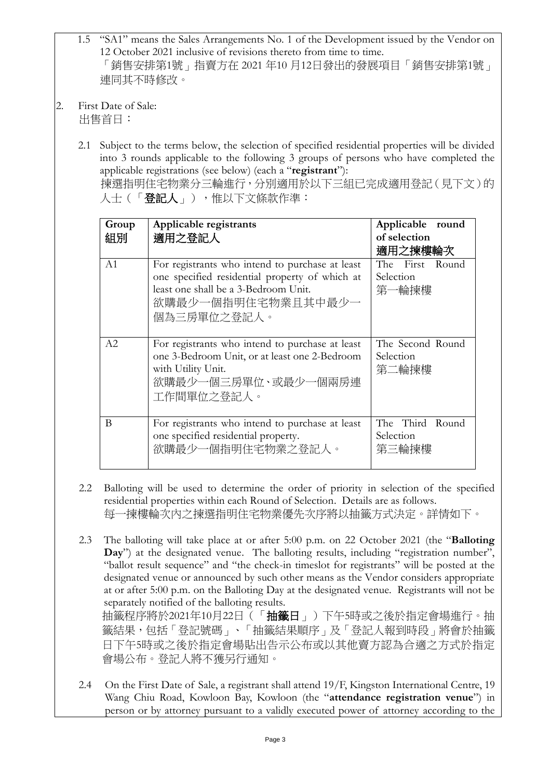- 1.5 "SA1" means the Sales Arrangements No. 1 of the Development issued by the Vendor on 12 October 2021 inclusive of revisions thereto from time to time. 「銷售安排第1號」指賣方在 2021 年10 月12日發出的發展項目「銷售安排第1號」 連同其不時修改。
- 2. First Date of Sale: 出售首日:
	- 2.1 Subject to the terms below, the selection of specified residential properties will be divided into 3 rounds applicable to the following 3 groups of persons who have completed the applicable registrations (see below) (each a "**registrant**"): 揀選指明住宅物業分三輪進行,分別適用於以下三組已完成適用登記(見下文)的 人士(「登記人」),惟以下文條款作準:

| Group<br>組別 | Applicable registrants<br>適用之登記人                                                                                                                                               | Applicable round<br>of selection<br>適用之揀樓輪次 |
|-------------|--------------------------------------------------------------------------------------------------------------------------------------------------------------------------------|---------------------------------------------|
| A1          | For registrants who intend to purchase at least<br>one specified residential property of which at<br>least one shall be a 3-Bedroom Unit.<br>欲購最少一個指明住宅物業且其中最少一<br>個為三房單位之登記人。 | The First Round<br>Selection<br>第一輪揀樓       |
| A2          | For registrants who intend to purchase at least<br>one 3-Bedroom Unit, or at least one 2-Bedroom<br>with Utility Unit.<br>欲購最少一個三房單位、或最少一個兩房連<br>工作間單位之登記人。                    | The Second Round<br>Selection<br>第二輪揀樓      |
| B           | For registrants who intend to purchase at least<br>one specified residential property.<br>欲購最少一個指明住宅物業之登記人。                                                                    | The Third Round<br>Selection<br>第三輪揀樓       |

- 2.2 Balloting will be used to determine the order of priority in selection of the specified residential properties within each Round of Selection. Details are as follows. 每一揀樓輪次內之揀選指明住宅物業優先次序將以抽籤方式決定。詳情如下。
- 2.3 The balloting will take place at or after 5:00 p.m. on 22 October 2021 (the "**Balloting Day**") at the designated venue. The balloting results, including "registration number", "ballot result sequence" and "the check-in timeslot for registrants" will be posted at the designated venue or announced by such other means as the Vendor considers appropriate at or after 5:00 p.m. on the Balloting Day at the designated venue. Registrants will not be separately notified of the balloting results. 抽籤程序將於2021年10月22日(「抽籤日」)下午5時或之後於指定會場進行。抽 籤結果,包括「登記號碼」、「抽籤結果順序」及「登記人報到時段」將會於抽籤
	- 日下午5時或之後於指定會場貼出告示公布或以其他賣方認為合適之方式於指定 會場公布。登記人將不獲另行通知。
- 2.4 On the First Date of Sale, a registrant shall attend 19/F, Kingston International Centre, 19 Wang Chiu Road, Kowloon Bay, Kowloon (the "**attendance registration venue**") in person or by attorney pursuant to a validly executed power of attorney according to the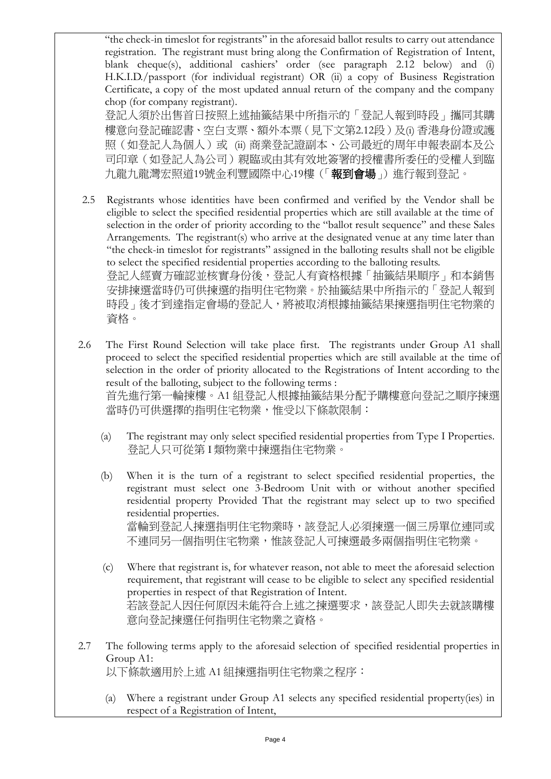"the check-in timeslot for registrants" in the aforesaid ballot results to carry out attendance registration. The registrant must bring along the Confirmation of Registration of Intent, blank cheque(s), additional cashiers' order (see paragraph 2.12 below) and (i) H.K.I.D./passport (for individual registrant) OR (ii) a copy of Business Registration Certificate, a copy of the most updated annual return of the company and the company chop (for company registrant).

登記人須於出售首日按照上述抽籤結果中所指示的「登記人報到時段」攜同其購 樓意向登記確認書、空白支票、額外本票(見下文第2.12段)及(i) 香港身份證或護 照(如登記人為個人)或 (ii) 商業登記證副本、公司最近的周年申報表副本及公 司印章(如登記人為公司)親臨或由其有效地簽署的授權書所委任的受權人到臨 九龍九龍灣宏照道19號金利豐國際中心19樓(「報到會場」)進行報到登記。

- 2.5 Registrants whose identities have been confirmed and verified by the Vendor shall be eligible to select the specified residential properties which are still available at the time of selection in the order of priority according to the "ballot result sequence" and these Sales Arrangements. The registrant(s) who arrive at the designated venue at any time later than "the check-in timeslot for registrants" assigned in the balloting results shall not be eligible to select the specified residential properties according to the balloting results. 登記人經賣方確認並核實身份後,登記人有資格根據「抽籤結果順序」和本銷售 安排揀選當時仍可供揀選的指明住宅物業。於抽籤結果中所指示的「登記人報到 時段」後才到達指定會場的登記人,將被取消根據抽籤結果揀選指明住宅物業的 資格。
- 2.6 The First Round Selection will take place first. The registrants under Group A1 shall proceed to select the specified residential properties which are still available at the time of selection in the order of priority allocated to the Registrations of Intent according to the result of the balloting, subject to the following terms : 首先進行第一輪揀樓。A1 組登記人根據抽籤結果分配予購樓意向登記之順序揀選 當時仍可供選擇的指明住宅物業,惟受以下條款限制:
	- (a) The registrant may only select specified residential properties from Type I Properties. 登記人只可從第 I 類物業中揀選指住宅物業。
	- (b) When it is the turn of a registrant to select specified residential properties, the registrant must select one 3-Bedroom Unit with or without another specified residential property Provided That the registrant may select up to two specified residential properties. 當輪到登記人揀選指明住宅物業時,該登記人必須揀選一個三房單位連同或 不連同另一個指明住宅物業,惟該登記人可揀選最多兩個指明住宅物業。
	- (c) Where that registrant is, for whatever reason, not able to meet the aforesaid selection requirement, that registrant will cease to be eligible to select any specified residential properties in respect of that Registration of Intent. 若該登記人因任何原因未能符合上述之揀選要求,該登記人即失去就該購樓 意向登記揀選任何指明住宅物業之資格。
- 2.7 The following terms apply to the aforesaid selection of specified residential properties in Group A1: 以下條款適用於上述 A1 組揀選指明住宅物業之程序:
	- (a) Where a registrant under Group A1 selects any specified residential property(ies) in respect of a Registration of Intent,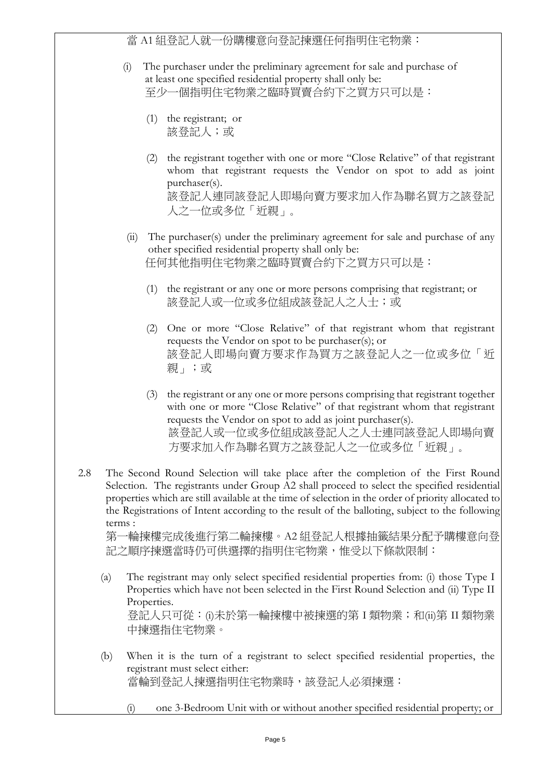當 A1 組登記人就一份購樓意向登記揀選任何指明住宅物業:

- (i) The purchaser under the preliminary agreement for sale and purchase of at least one specified residential property shall only be: 至少一個指明住宅物業之臨時買賣合約下之買方只可以是:
	- (1) the registrant; or 該登記人;或
	- (2) the registrant together with one or more "Close Relative" of that registrant whom that registrant requests the Vendor on spot to add as joint purchaser(s). 該登記人連同該登記人即場向賣方要求加入作為聯名買方之該登記 人之一位或多位「近親」。
- (ii) The purchaser(s) under the preliminary agreement for sale and purchase of any other specified residential property shall only be: 任何其他指明住宅物業之臨時買賣合約下之買方只可以是:
	- (1) the registrant or any one or more persons comprising that registrant; or 該登記人或一位或多位組成該登記人之人士;或
	- (2) One or more "Close Relative" of that registrant whom that registrant requests the Vendor on spot to be purchaser(s); or 該登記人即場向賣方要求作為買方之該登記人之一位或多位「近 親」;或
	- (3) the registrant or any one or more persons comprising that registrant together with one or more "Close Relative" of that registrant whom that registrant requests the Vendor on spot to add as joint purchaser(s). 該登記人或一位或多位組成該登記人之人士連同該登記人即場向賣 方要求加入作為聯名買方之該登記人之一位或多位「近親」。
- 2.8 The Second Round Selection will take place after the completion of the First Round Selection. The registrants under Group A2 shall proceed to select the specified residential properties which are still available at the time of selection in the order of priority allocated to the Registrations of Intent according to the result of the balloting, subject to the following terms :

第一輪揀樓完成後進行第二輪揀樓。A2 組登記人根據抽籤結果分配予購樓意向登 記之順序揀選當時仍可供選擇的指明住宅物業,惟受以下條款限制:

- (a) The registrant may only select specified residential properties from: (i) those Type I Properties which have not been selected in the First Round Selection and (ii) Type II Properties. 登記人只可從: (i)未於第一輪揀樓中被揀選的第 I 類物業; 和(ii)第 II 類物業 中揀選指住宅物業。
- (b) When it is the turn of a registrant to select specified residential properties, the registrant must select either: 當輪到登記人揀選指明住宅物業時,該登記人必須揀選:
	- (i) one 3-Bedroom Unit with or without another specified residential property; or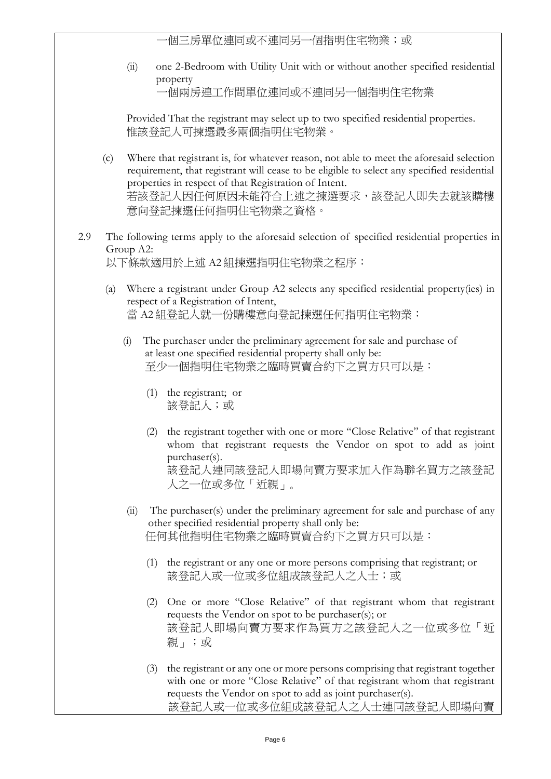個三房單位連同或不連同另一個指明住宅物業;或

(ii) one 2-Bedroom with Utility Unit with or without another specified residential property

一個兩房連工作間單位連同或不連同另一個指明住宅物業

Provided That the registrant may select up to two specified residential properties. 惟該登記人可揀選最多兩個指明住宅物業。

- (c) Where that registrant is, for whatever reason, not able to meet the aforesaid selection requirement, that registrant will cease to be eligible to select any specified residential properties in respect of that Registration of Intent. 若該登記人因任何原因未能符合上述之揀選要求,該登記人即失去就該購樓 意向登記揀選任何指明住宅物業之資格。
- 2.9 The following terms apply to the aforesaid selection of specified residential properties in Group A2: 以下條款適用於上述 A2 組揀選指明住宅物業之程序:
	- (a) Where a registrant under Group A2 selects any specified residential property(ies) in respect of a Registration of Intent, 當 A2 組登記人就一份購樓意向登記揀選任何指明住宅物業:
		- (i) The purchaser under the preliminary agreement for sale and purchase of at least one specified residential property shall only be: 至少一個指明住宅物業之臨時買賣合約下之買方只可以是:
			- (1) the registrant; or 該登記人;或
			- (2) the registrant together with one or more "Close Relative" of that registrant whom that registrant requests the Vendor on spot to add as joint purchaser(s). 該登記人連同該登記人即場向賣方要求加入作為聯名買方之該登記 人之一位或多位「近親」。
		- (ii) The purchaser(s) under the preliminary agreement for sale and purchase of any other specified residential property shall only be: 任何其他指明住宅物業之臨時買賣合約下之買方只可以是:
			- (1) the registrant or any one or more persons comprising that registrant; or 該登記人或一位或多位組成該登記人之人士;或
			- (2) One or more "Close Relative" of that registrant whom that registrant requests the Vendor on spot to be purchaser(s); or 該登記人即場向賣方要求作為買方之該登記人之一位或多位「近 親」;或
			- (3) the registrant or any one or more persons comprising that registrant together with one or more "Close Relative" of that registrant whom that registrant requests the Vendor on spot to add as joint purchaser(s). 該登記人或一位或多位組成該登記人之人士連同該登記人即場向賣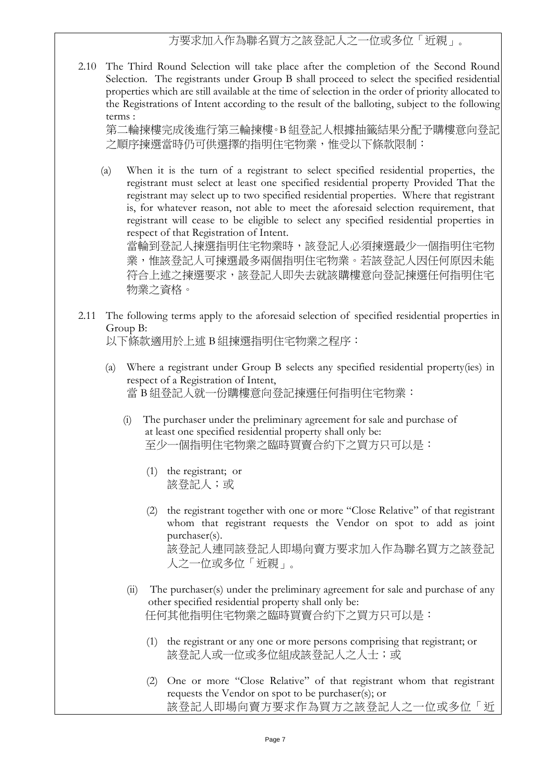## 方要求加入作為聯名買方之該登記人之一位或多位「近親」。

2.10 The Third Round Selection will take place after the completion of the Second Round Selection. The registrants under Group B shall proceed to select the specified residential properties which are still available at the time of selection in the order of priority allocated to the Registrations of Intent according to the result of the balloting, subject to the following terms :

第二輪揀樓完成後進行第三輪揀樓。B 組登記人根據抽籤結果分配予購樓意向登記 之順序揀選當時仍可供選擇的指明住宅物業,惟受以下條款限制:

(a) When it is the turn of a registrant to select specified residential properties, the registrant must select at least one specified residential property Provided That the registrant may select up to two specified residential properties. Where that registrant is, for whatever reason, not able to meet the aforesaid selection requirement, that registrant will cease to be eligible to select any specified residential properties in respect of that Registration of Intent.

當輪到登記人揀選指明住宅物業時,該登記人必須揀選最少一個指明住宅物 業,惟該登記人可揀選最多兩個指明住宅物業。若該登記人因任何原因未能 符合上述之揀選要求,該登記人即失去就該購樓意向登記揀選任何指明住宅 物業之資格。

2.11 The following terms apply to the aforesaid selection of specified residential properties in Group B:

以下條款適用於上述 B 組揀選指明住宅物業之程序:

- (a) Where a registrant under Group B selects any specified residential property(ies) in respect of a Registration of Intent, 當 B 組登記人就一份購樓意向登記揀選任何指明住宅物業:
	- (i) The purchaser under the preliminary agreement for sale and purchase of at least one specified residential property shall only be: 至少一個指明住宅物業之臨時買賣合約下之買方只可以是:
		- (1) the registrant; or 該登記人;或
		- (2) the registrant together with one or more "Close Relative" of that registrant whom that registrant requests the Vendor on spot to add as joint purchaser(s). 該登記人連同該登記人即場向賣方要求加入作為聯名買方之該登記 人之一位或多位「近親」。
	- (ii) The purchaser(s) under the preliminary agreement for sale and purchase of any other specified residential property shall only be: 任何其他指明住宅物業之臨時買賣合約下之買方只可以是:
		- (1) the registrant or any one or more persons comprising that registrant; or 該登記人或一位或多位組成該登記人之人士;或
		- (2) One or more "Close Relative" of that registrant whom that registrant requests the Vendor on spot to be purchaser(s); or 該登記人即場向賣方要求作為買方之該登記人之一位或多位「近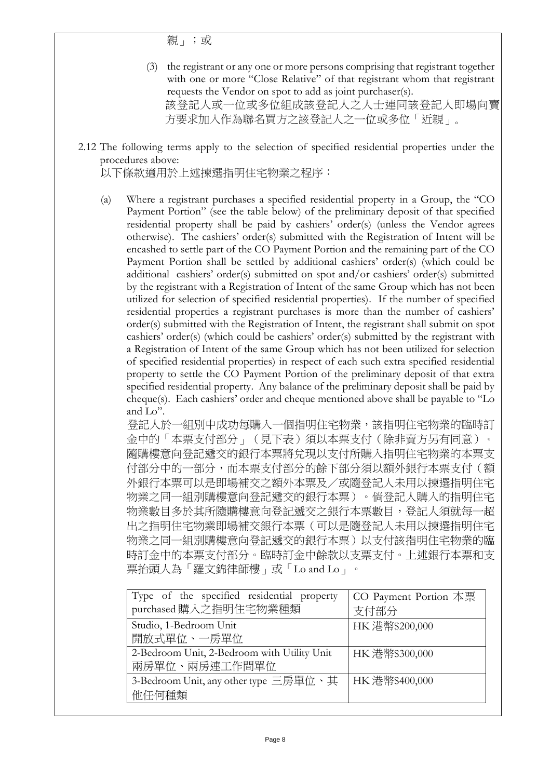親」;或

- (3) the registrant or any one or more persons comprising that registrant together with one or more "Close Relative" of that registrant whom that registrant requests the Vendor on spot to add as joint purchaser(s). 該登記人或一位或多位組成該登記人之人士連同該登記人即場向賣 方要求加入作為聯名買方之該登記人之一位或多位「近親」。
- 2.12 The following terms apply to the selection of specified residential properties under the procedures above:

以下條款適用於上述揀選指明住宅物業之程序:

(a) Where a registrant purchases a specified residential property in a Group, the "CO Payment Portion" (see the table below) of the preliminary deposit of that specified residential property shall be paid by cashiers' order(s) (unless the Vendor agrees otherwise). The cashiers' order(s) submitted with the Registration of Intent will be encashed to settle part of the CO Payment Portion and the remaining part of the CO Payment Portion shall be settled by additional cashiers' order(s) (which could be additional cashiers' order(s) submitted on spot and/or cashiers' order(s) submitted by the registrant with a Registration of Intent of the same Group which has not been utilized for selection of specified residential properties). If the number of specified residential properties a registrant purchases is more than the number of cashiers' order(s) submitted with the Registration of Intent, the registrant shall submit on spot cashiers' order(s) (which could be cashiers' order(s) submitted by the registrant with a Registration of Intent of the same Group which has not been utilized for selection of specified residential properties) in respect of each such extra specified residential property to settle the CO Payment Portion of the preliminary deposit of that extra specified residential property. Any balance of the preliminary deposit shall be paid by cheque(s). Each cashiers' order and cheque mentioned above shall be payable to "Lo and Lo".

登記人於一組別中成功每購入一個指明住宅物業,該指明住宅物業的臨時訂 金中的「本票支付部分」(見下表)須以本票支付(除非賣方另有同意)。 隨購樓意向登記遞交的銀行本票將兌現以支付所購入指明住宅物業的本票支 付部分中的一部分,而本票支付部分的餘下部分須以額外銀行本票支付(額 外銀行本票可以是即場補交之額外本票及/或隨登記人未用以揀選指明住宅 物業之同一組別購樓意向登記遞交的銀行本票)。倘登記人購入的指明住宅 物業數目多於其所隨購樓意向登記遞交之銀行本票數目,登記人須就每 出之指明住宅物業即場補交銀行本票(可以是隨登記人未用以揀選指明住宅 物業之同一組別購樓意向登記遞交的銀行本票)以支付該指明住宅物業的臨 時訂金中的本票支付部分。臨時訂金中餘款以支票支付。上述銀行本票和支 票抬頭人為「羅文錦律師樓」或「Lo and Lo」。

| Type of the specified residential property<br>purchased 購入之指明住宅物業種類 | CO Payment Portion 本票<br>支付部分 |
|---------------------------------------------------------------------|-------------------------------|
| Studio, 1-Bedroom Unit<br>開放式單位、一房單位                                | HK 港幣\$200,000                |
| 2-Bedroom Unit, 2-Bedroom with Utility Unit<br>兩房單位、兩房連工作間單位        | HK 港幣\$300,000                |
| 3-Bedroom Unit, any other type 三房單位、其<br>他任何種類                      | HK 港幣\$400,000                |
|                                                                     |                               |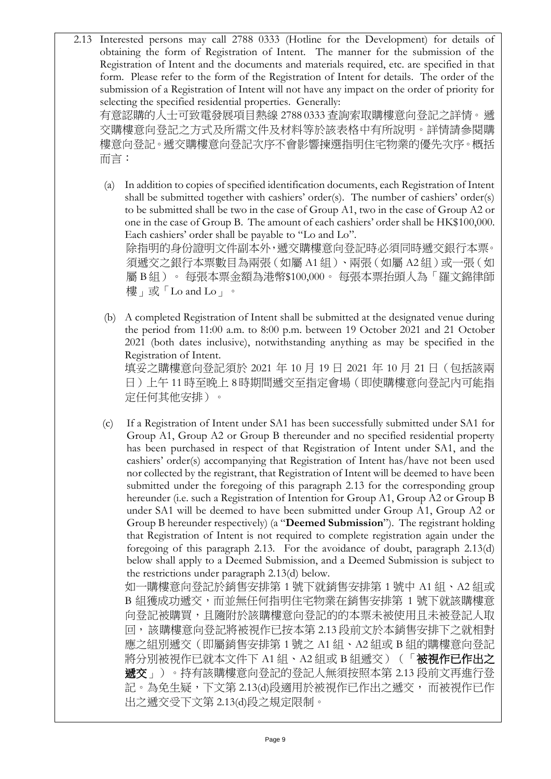2.13 Interested persons may call 2788 0333 (Hotline for the Development) for details of obtaining the form of Registration of Intent. The manner for the submission of the Registration of Intent and the documents and materials required, etc. are specified in that form. Please refer to the form of the Registration of Intent for details. The order of the submission of a Registration of Intent will not have any impact on the order of priority for selecting the specified residential properties. Generally: 有意認購的人士可致電發展項目熱線 2788 0333 查詢索取購樓意向登記之詳情。遞

交購樓意向登記之方式及所需文件及材料等於該表格中有所說明。詳情請參閱購 樓意向登記。遞交購樓意向登記次序不會影響揀選指明住宅物業的優先次序。概括 而言:

(a) In addition to copies of specified identification documents, each Registration of Intent shall be submitted together with cashiers' order(s). The number of cashiers' order(s) to be submitted shall be two in the case of Group A1, two in the case of Group A2 or one in the case of Group B. The amount of each cashiers' order shall be HK\$100,000. Each cashiers' order shall be payable to "Lo and Lo". 除指明的身份證明文件副本外,遞交購樓意向登記時必須同時遞交銀行本票。 須遞交之銀行本票數目為兩張(如屬 A1 組)、兩張(如屬 A2 組)或一張(如

屬 B 組)。 每張本票金額為港幣\$100,000。 每張本票抬頭人為「羅文錦律師 樓」或「Lo and Lo」。

(b) A completed Registration of Intent shall be submitted at the designated venue during the period from 11:00 a.m. to 8:00 p.m. between 19 October 2021 and 21 October 2021 (both dates inclusive), notwithstanding anything as may be specified in the Registration of Intent.

填妥之購樓意向登記須於 2021 年 10 月 19 日 2021 年 10 月 21 日(包括該兩 日)上午 11 時至晚上 8 時期間遞交至指定會場(即使購樓意向登記內可能指 定任何其他安排)。

(c) If a Registration of Intent under SA1 has been successfully submitted under SA1 for Group A1, Group A2 or Group B thereunder and no specified residential property has been purchased in respect of that Registration of Intent under SA1, and the cashiers' order(s) accompanying that Registration of Intent has/have not been used nor collected by the registrant, that Registration of Intent will be deemed to have been submitted under the foregoing of this paragraph 2.13 for the corresponding group hereunder (i.e. such a Registration of Intention for Group A1, Group A2 or Group B under SA1 will be deemed to have been submitted under Group A1, Group A2 or Group B hereunder respectively) (a "**Deemed Submission**"). The registrant holding that Registration of Intent is not required to complete registration again under the foregoing of this paragraph 2.13. For the avoidance of doubt, paragraph 2.13(d) below shall apply to a Deemed Submission, and a Deemed Submission is subject to the restrictions under paragraph 2.13(d) below.

如一購樓意向登記於銷售安排第 1 號下就銷售安排第 1 號中 A1 組、A2 組或 B 組獲成功遞交,而並無任何指明住宅物業在銷售安排第 1 號下就該購樓意 向登記被購買,且隨附於該購樓意向登記的的本票未被使用且未被登記人取 回,該購樓意向登記將被視作已按本第 2.13 段前文於本銷售安排下之就相對 應之組別遞交(即屬銷售安排第 1 號之 A1 組、A2 組或 B 組的購樓意向登記 將分別被視作已就本文件下 A1 組、A2 組或 B 組遞交)(「被視作已作出之 遞交」)。持有該購樓意向登記的登記人無須按照本第 2.13 段前文再進行登 記。為免生疑,下文第 2.13(d)段適用於被視作已作出之遞交, 而被視作已作 出之遞交受下文第 2.13(d)段之規定限制。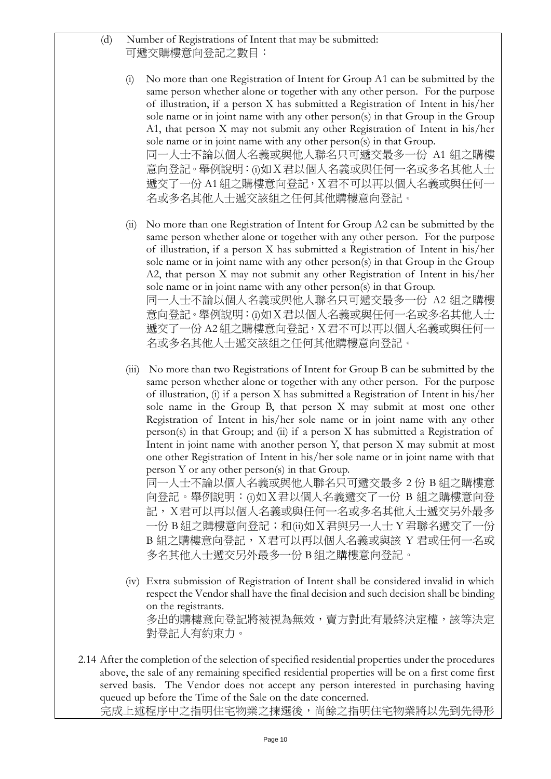(d) Number of Registrations of Intent that may be submitted: 可遞交購樓意向登記之數目:

- (i) No more than one Registration of Intent for Group A1 can be submitted by the same person whether alone or together with any other person. For the purpose of illustration, if a person X has submitted a Registration of Intent in his/her sole name or in joint name with any other person(s) in that Group in the Group A1, that person X may not submit any other Registration of Intent in his/her sole name or in joint name with any other person(s) in that Group. 同一人士不論以個人名義或與他人聯名只可遞交最多一份 A1 組之購樓 意向登記。舉例說明: (i)如 X 君以個人名義或與任何一名或多名其他人士 遞交了一份 A1 組之購樓意向登記, X君不可以再以個人名義或與任何一 名或多名其他人士遞交該組之任何其他購樓意向登記。
- (ii) No more than one Registration of Intent for Group A2 can be submitted by the same person whether alone or together with any other person. For the purpose of illustration, if a person X has submitted a Registration of Intent in his/her sole name or in joint name with any other person(s) in that Group in the Group A2, that person X may not submit any other Registration of Intent in his/her sole name or in joint name with any other person(s) in that Group. 同一人士不論以個人名義或與他人聯名只可遞交最多一份 A2 組之購樓 意向登記。舉例說明: (i)如 X 君以個人名義或與任何一名或多名其他人士 遞交了一份 A2 組之購樓意向登記, X君不可以再以個人名義或與任何一 名或多名其他人士遞交該組之任何其他購樓意向登記。
- (iii) No more than two Registrations of Intent for Group B can be submitted by the same person whether alone or together with any other person. For the purpose of illustration, (i) if a person X has submitted a Registration of Intent in his/her sole name in the Group B, that person X may submit at most one other Registration of Intent in his/her sole name or in joint name with any other person(s) in that Group; and (ii) if a person X has submitted a Registration of Intent in joint name with another person Y, that person X may submit at most one other Registration of Intent in his/her sole name or in joint name with that person Y or any other person(s) in that Group.

同一人士不論以個人名義或與他人聯名只可遞交最多 2 份 B 組之購樓意 向登記。舉例說明:(i)如X君以個人名義遞交了一份 B 組之購樓意向登 記,X君可以再以個人名義或與任何一名或多名其他人士遞交另外最多 一份 B 組之購樓意向登記; 和(ii)如 X 君與另一人士 Y 君聯名遞交了一份 B 組之購樓意向登記, X君可以再以個人名義或與該 Y 君或任何一名或 多名其他人士遞交另外最多一份 B 組之購樓意向登記。

- (iv) Extra submission of Registration of Intent shall be considered invalid in which respect the Vendor shall have the final decision and such decision shall be binding on the registrants. 多出的購樓意向登記將被視為無效,賣方對此有最終決定權,該等決定 對登記人有約束力。
- 2.14 After the completion of the selection of specified residential properties under the procedures above, the sale of any remaining specified residential properties will be on a first come first served basis. The Vendor does not accept any person interested in purchasing having queued up before the Time of the Sale on the date concerned. 完成上述程序中之指明住宅物業之揀選後,尚餘之指明住宅物業將以先到先得形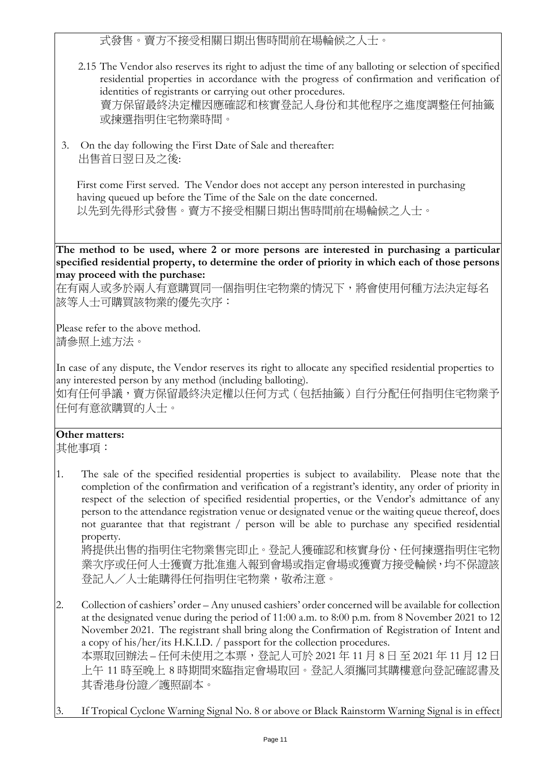式發售。賣方不接受相關日期出售時間前在場輪候之人士。

- 2.15 The Vendor also reserves its right to adjust the time of any balloting or selection of specified residential properties in accordance with the progress of confirmation and verification of identities of registrants or carrying out other procedures. 賣方保留最終決定權因應確認和核實登記人身份和其他程序之進度調整任何抽籤 或揀選指明住宅物業時間。
- 3. On the day following the First Date of Sale and thereafter: 出售首日翌日及之後:

First come First served. The Vendor does not accept any person interested in purchasing having queued up before the Time of the Sale on the date concerned. 以先到先得形式發售。賣方不接受相關日期出售時間前在場輪候之人士。

**The method to be used, where 2 or more persons are interested in purchasing a particular specified residential property, to determine the order of priority in which each of those persons may proceed with the purchase:**

在有兩人或多於兩人有意購買同一個指明住宅物業的情況下,將會使用何種方法決定每名 該等人士可購買該物業的優先次序:

Please refer to the above method. 請參照上述方法。

In case of any dispute, the Vendor reserves its right to allocate any specified residential properties to any interested person by any method (including balloting).

如有任何爭議,賣方保留最終決定權以任何方式(包括抽籤)自行分配任何指明住宅物業予 任何有意欲購買的人士。

## **Other matters:**

其他事項:

1. The sale of the specified residential properties is subject to availability. Please note that the completion of the confirmation and verification of a registrant's identity, any order of priority in respect of the selection of specified residential properties, or the Vendor's admittance of any person to the attendance registration venue or designated venue or the waiting queue thereof, does not guarantee that that registrant / person will be able to purchase any specified residential property.

將提供出售的指明住宅物業售完即止。登記人獲確認和核實身份、任何揀選指明住宅物 業次序或任何人士獲賣方批准進入報到會場或指定會場或獲賣方接受輪候,均不保證該 登記人/人士能購得任何指明住宅物業,敬希注意。

- 2. Collection of cashiers' order Any unused cashiers' order concerned will be available for collection at the designated venue during the period of 11:00 a.m. to 8:00 p.m. from 8 November 2021 to 12 November 2021. The registrant shall bring along the Confirmation of Registration of Intent and a copy of his/her/its H.K.I.D. / passport for the collection procedures. 本票取回辦法 – 任何未使用之本票,登記人可於 2021 年 11 月 8 日 至 2021 年 11 月 12 日 上午 11 時至晚上 8 時期間來臨指定會場取回。登記人須攜同其購樓意向登記確認書及 其香港身份證/護照副本。
- If Tropical Cyclone Warning Signal No. 8 or above or Black Rainstorm Warning Signal is in effect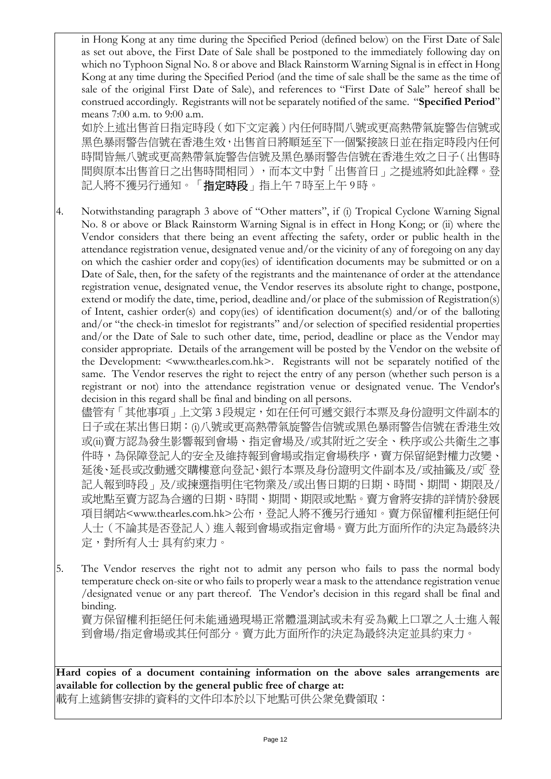in Hong Kong at any time during the Specified Period (defined below) on the First Date of Sale as set out above, the First Date of Sale shall be postponed to the immediately following day on which no Typhoon Signal No. 8 or above and Black Rainstorm Warning Signal is in effect in Hong Kong at any time during the Specified Period (and the time of sale shall be the same as the time of sale of the original First Date of Sale), and references to "First Date of Sale" hereof shall be construed accordingly. Registrants will not be separately notified of the same. "**Specified Period**" means 7:00 a.m. to 9:00 a.m.

如於上述出售首日指定時段(如下文定義)內任何時間八號或更高熱帶氣旋警告信號或 黑色暴雨警告信號在香港生效,出售首日將順延至下一個緊接該日並在指定時段內任何 時間皆無八號或更高熱帶氣旋警告信號及黑色暴雨警告信號在香港生效之日子(出售時 間與原本出售首日之出售時間相同),而本文中對「出售首日」之提述將如此詮釋。登 記人將不獲另行通知。「**指定時段**」指上午 7 時至上午 9 時。

4. Notwithstanding paragraph 3 above of "Other matters", if (i) Tropical Cyclone Warning Signal No. 8 or above or Black Rainstorm Warning Signal is in effect in Hong Kong; or (ii) where the Vendor considers that there being an event affecting the safety, order or public health in the attendance registration venue, designated venue and/or the vicinity of any of foregoing on any day on which the cashier order and copy(ies) of identification documents may be submitted or on a Date of Sale, then, for the safety of the registrants and the maintenance of order at the attendance registration venue, designated venue, the Vendor reserves its absolute right to change, postpone, extend or modify the date, time, period, deadline and/or place of the submission of Registration(s) of Intent, cashier order(s) and copy(ies) of identification document(s) and/or of the balloting and/or "the check-in timeslot for registrants" and/or selection of specified residential properties and/or the Date of Sale to such other date, time, period, deadline or place as the Vendor may consider appropriate. Details of the arrangement will be posted by the Vendor on the website of the Development: <www.thearles.com.hk>. Registrants will not be separately notified of the same. The Vendor reserves the right to reject the entry of any person (whether such person is a registrant or not) into the attendance registration venue or designated venue. The Vendor's decision in this regard shall be final and binding on all persons.

儘管有 「其他事項」上文第 3 段規定,如在任何可遞交銀行本票及身份證明文件副本的 日子或在某出售日期:(i)八號或更高熱帶氣旋警告信號或黑色暴雨警告信號在香港生效 或(ii)賣方認為發生影響報到會場、指定會場及/或其附近之安全、秩序或公共衛生之事 件時,為保障登記人的安全及維持報到會場或指定會場秩序,賣方保留絕對權力改變 延後、延長或改動遞交購樓意向登記、銀行本票及身份證明文件副本及/或抽籤及/或「登 記人報到時段」及/或揀選指明住宅物業及/或出售日期的日期、時間、期間、期限及/ 或地點至賣方認為合適的日期、時間、期間、期限或地點。賣方會將安排的詳情於發展 項目網站<www.thearles.com.hk>公布,登記人將不獲另行通知。賣方保留權利拒絕任何 人士(不論其是否登記人)進入報到會場或指定會場。賣方此方面所作的決定為最終決 定,對所有人士 具有約束力。

5. The Vendor reserves the right not to admit any person who fails to pass the normal body temperature check on-site or who fails to properly wear a mask to the attendance registration venue /designated venue or any part thereof. The Vendor's decision in this regard shall be final and binding.

賣方保留權利拒絕任何未能通過現場正常體溫測試或未有妥為戴上口罩之人士進入報 到會場/指定會場或其任何部分。賣方此方面所作的決定為最終決定並具約束力。

**Hard copies of a document containing information on the above sales arrangements are available for collection by the general public free of charge at:**

載有上述銷售安排的資料的文件印本於以下地點可供公衆免費領取: